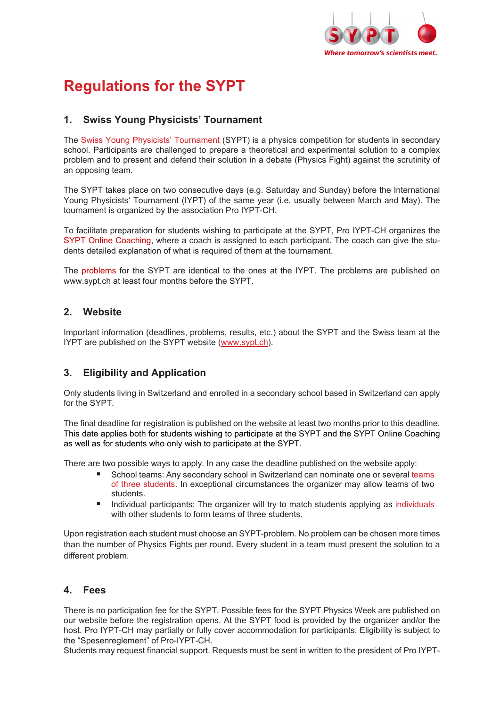

# **Regulations for the SYPT**

## **1. Swiss Young Physicists' Tournament**

The Swiss Young Physicists' Tournament (SYPT) is a physics competition for students in secondary school. Participants are challenged to prepare a theoretical and experimental solution to a complex problem and to present and defend their solution in a debate (Physics Fight) against the scrutinity of an opposing team.

The SYPT takes place on two consecutive days (e.g. Saturday and Sunday) before the International Young Physicists' Tournament (IYPT) of the same year (i.e. usually between March and May). The tournament is organized by the association Pro IYPT-CH.

To facilitate preparation for students wishing to participate at the SYPT, Pro IYPT-CH organizes the SYPT Online Coaching, where a coach is assigned to each participant. The coach can give the students detailed explanation of what is required of them at the tournament.

The problems for the SYPT are identical to the ones at the IYPT. The problems are published on www.sypt.ch at least four months before the SYPT.

## **2. Website**

Important information (deadlines, problems, results, etc.) about the SYPT and the Swiss team at the IYPT are published on the SYPT website [\(www.sypt.ch\)](http://www.sypt.ch/).

## **3. Eligibility and Application**

Only students living in Switzerland and enrolled in a secondary school based in Switzerland can apply for the SYPT.

The final deadline for registration is published on the website at least two months prior to this deadline. This date applies both for students wishing to participate at the SYPT and the SYPT Online Coaching as well as for students who only wish to participate at the SYPT.

There are two possible ways to apply. In any case the deadline published on the website apply:

- School teams: Any secondary school in Switzerland can nominate one or several teams of three students. In exceptional circumstances the organizer may allow teams of two students.
- **Individual participants: The organizer will try to match students applying as individuals** with other students to form teams of three students.

Upon registration each student must choose an SYPT-problem. No problem can be chosen more times than the number of Physics Fights per round. Every student in a team must present the solution to a different problem.

## **4. Fees**

There is no participation fee for the SYPT. Possible fees for the SYPT Physics Week are published on our website before the registration opens. At the SYPT food is provided by the organizer and/or the host. Pro IYPT-CH may partially or fully cover accommodation for participants. Eligibility is subject to the "Spesenreglement" of Pro-IYPT-CH.

Students may request financial support. Requests must be sent in written to the president of Pro IYPT-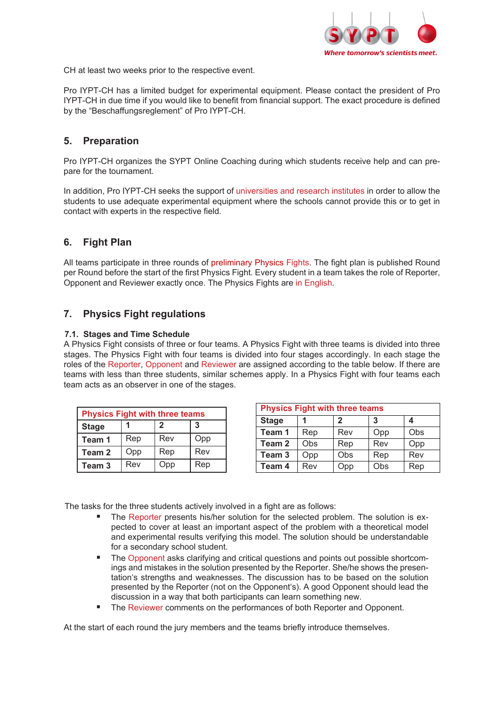

CH at least two weeks prior to the respective event.

Pro IYPT-CH has a limited budget for experimental equipment. Please contact the president of Pro IYPT-CH in due time if you would like to benefit from financial support. The exact procedure is defined by the "Beschaffungsreglement" of Pro IYPT-CH.

## **5. Preparation**

Pro IYPT-CH organizes the SYPT Online Coaching during which students receive help and can prepare for the tournament.

In addition, Pro IYPT-CH seeks the support of universities and research institutes in order to allow the students to use adequate experimental equipment where the schools cannot provide this or to get in contact with experts in the respective field.

## **6. Fight Plan**

All teams participate in three rounds of preliminary Physics Fights. The fight plan is published Round per Round before the start of the first Physics Fight. Every student in a team takes the role of Reporter, Opponent and Reviewer exactly once. The Physics Fights are in English.

## **7. Physics Fight regulations**

#### **7.1. Stages and Time Schedule**

A Physics Fight consists of three or four teams. A Physics Fight with three teams is divided into three stages. The Physics Fight with four teams is divided into four stages accordingly. In each stage the roles of the Reporter, Opponent and Reviewer are assigned according to the table below. If there are teams with less than three students, similar schemes apply. In a Physics Fight with four teams each team acts as an observer in one of the stages.

| <b>Physics Fight with three teams</b> |     |             |     |  |  |
|---------------------------------------|-----|-------------|-----|--|--|
| <b>Stage</b>                          |     | $\mathbf 2$ | 3   |  |  |
| Team 1                                | Rep | Rev         | Opp |  |  |
| Team <sub>2</sub>                     | Opp | Rep         | Rev |  |  |
| Team <sub>3</sub>                     | Rev | Opp         | Rep |  |  |

| <b>Physics Fight with three teams</b> |     |     |     |     |  |  |
|---------------------------------------|-----|-----|-----|-----|--|--|
| <b>Stage</b>                          |     | 2   | 3   |     |  |  |
| Team 1                                | Rep | Rev | Opp | Obs |  |  |
| Team 2                                | Obs | Rep | Rev | Opp |  |  |
| Team <sub>3</sub>                     | Opp | Obs | Rep | Rev |  |  |
| Team 4                                | Rev | Opp | Obs | Rep |  |  |

The tasks for the three students actively involved in a fight are as follows:

- The Reporter presents his/her solution for the selected problem. The solution is expected to cover at least an important aspect of the problem with a theoretical model and experimental results verifying this model. The solution should be understandable for a secondary school student.
- The Opponent asks clarifying and critical questions and points out possible shortcomings and mistakes in the solution presented by the Reporter. She/he shows the presentation's strengths and weaknesses. The discussion has to be based on the solution presented by the Reporter (not on the Opponent's). A good Opponent should lead the discussion in a way that both participants can learn something new.
- The Reviewer comments on the performances of both Reporter and Opponent.

At the start of each round the jury members and the teams briefly introduce themselves.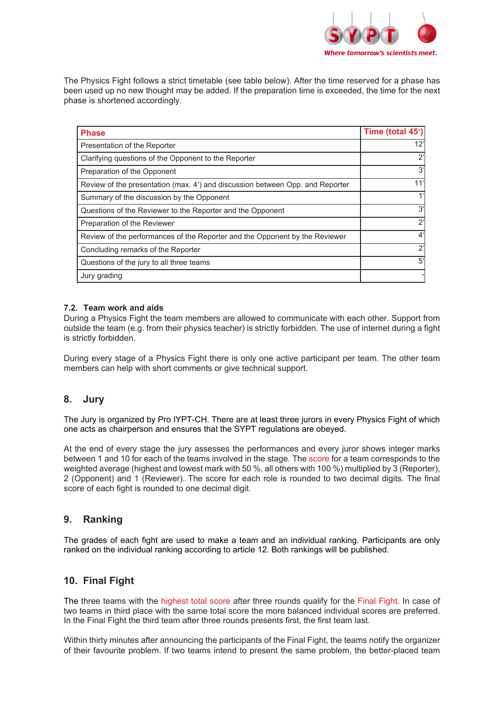

The Physics Fight follows a strict timetable (see table below). After the time reserved for a phase has been used up no new thought may be added. If the preparation time is exceeded, the time for the next phase is shortened accordingly.

| <b>Phase</b>                                                                  | Time (total 45') |
|-------------------------------------------------------------------------------|------------------|
| Presentation of the Reporter                                                  | $12^{\circ}$     |
| Clarifying questions of the Opponent to the Reporter                          | $2^{\circ}$      |
| Preparation of the Opponent                                                   | $3^{\circ}$      |
| Review of the presentation (max. 4') and discussion between Opp. and Reporter | 11'              |
| Summary of the discussion by the Opponent                                     | 1 <sup>1</sup>   |
| Questions of the Reviewer to the Reporter and the Opponent                    | $3^{\circ}$      |
| Preparation of the Reviewer                                                   | $2^{\circ}$      |
| Review of the performances of the Reporter and the Opponent by the Reviewer   | $4^{\circ}$      |
| Concluding remarks of the Reporter                                            | $2^{\circ}$      |
| Questions of the jury to all three teams                                      | $5^{\circ}$      |
| Jury grading                                                                  |                  |

#### **7.2. Team work and aids**

During a Physics Fight the team members are allowed to communicate with each other. Support from outside the team (e.g. from their physics teacher) is strictly forbidden. The use of internet during a fight is strictly forbidden.

During every stage of a Physics Fight there is only one active participant per team. The other team members can help with short comments or give technical support.

### **8. Jury**

The Jury is organized by Pro IYPT-CH. There are at least three jurors in every Physics Fight of which one acts as chairperson and ensures that the SYPT regulations are obeyed.

At the end of every stage the jury assesses the performances and every juror shows integer marks between 1 and 10 for each of the teams involved in the stage. The score for a team corresponds to the weighted average (highest and lowest mark with 50 %, all others with 100 %) multiplied by 3 (Reporter), 2 (Opponent) and 1 (Reviewer). The score for each role is rounded to two decimal digits. The final score of each fight is rounded to one decimal digit.

### **9. Ranking**

The grades of each fight are used to make a team and an individual ranking. Participants are only ranked on the individual ranking according to article 12. Both rankings will be published.

### **10. Final Fight**

The three teams with the highest total score after three rounds qualify for the Final Fight. In case of two teams in third place with the same total score the more balanced individual scores are preferred. In the Final Fight the third team after three rounds presents first, the first team last.

Within thirty minutes after announcing the participants of the Final Fight, the teams notify the organizer of their favourite problem. If two teams intend to present the same problem, the better-placed team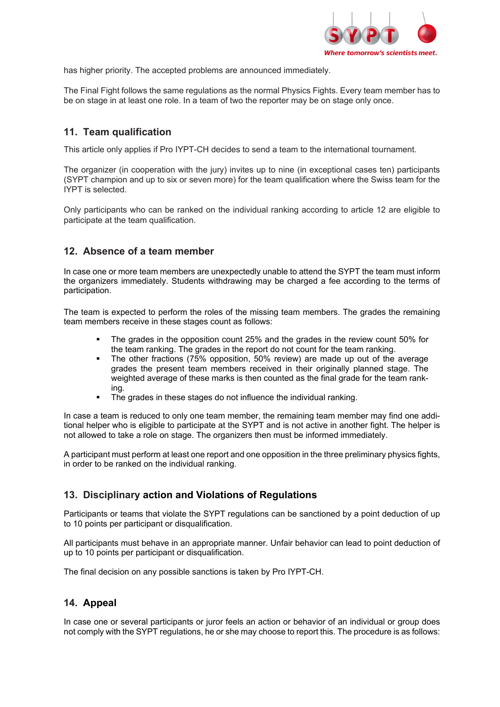

has higher priority. The accepted problems are announced immediately.

The Final Fight follows the same regulations as the normal Physics Fights. Every team member has to be on stage in at least one role. In a team of two the reporter may be on stage only once.

## **11. Team qualification**

This article only applies if Pro IYPT-CH decides to send a team to the international tournament.

The organizer (in cooperation with the jury) invites up to nine (in exceptional cases ten) participants (SYPT champion and up to six or seven more) for the team qualification where the Swiss team for the IYPT is selected.

Only participants who can be ranked on the individual ranking according to article 12 are eligible to participate at the team qualification.

### **12. Absence of a team member**

In case one or more team members are unexpectedly unable to attend the SYPT the team must inform the organizers immediately. Students withdrawing may be charged a fee according to the terms of participation.

The team is expected to perform the roles of the missing team members. The grades the remaining team members receive in these stages count as follows:

- The grades in the opposition count 25% and the grades in the review count 50% for the team ranking. The grades in the report do not count for the team ranking.
- The other fractions (75% opposition, 50% review) are made up out of the average grades the present team members received in their originally planned stage. The weighted average of these marks is then counted as the final grade for the team ranking.
- The grades in these stages do not influence the individual ranking.

In case a team is reduced to only one team member, the remaining team member may find one additional helper who is eligible to participate at the SYPT and is not active in another fight. The helper is not allowed to take a role on stage. The organizers then must be informed immediately.

A participant must perform at least one report and one opposition in the three preliminary physics fights, in order to be ranked on the individual ranking.

## **13. Disciplinary action and Violations of Regulations**

Participants or teams that violate the SYPT regulations can be sanctioned by a point deduction of up to 10 points per participant or disqualification.

All participants must behave in an appropriate manner. Unfair behavior can lead to point deduction of up to 10 points per participant or disqualification.

The final decision on any possible sanctions is taken by Pro IYPT-CH.

## **14. Appeal**

In case one or several participants or juror feels an action or behavior of an individual or group does not comply with the SYPT regulations, he or she may choose to report this. The procedure is as follows: